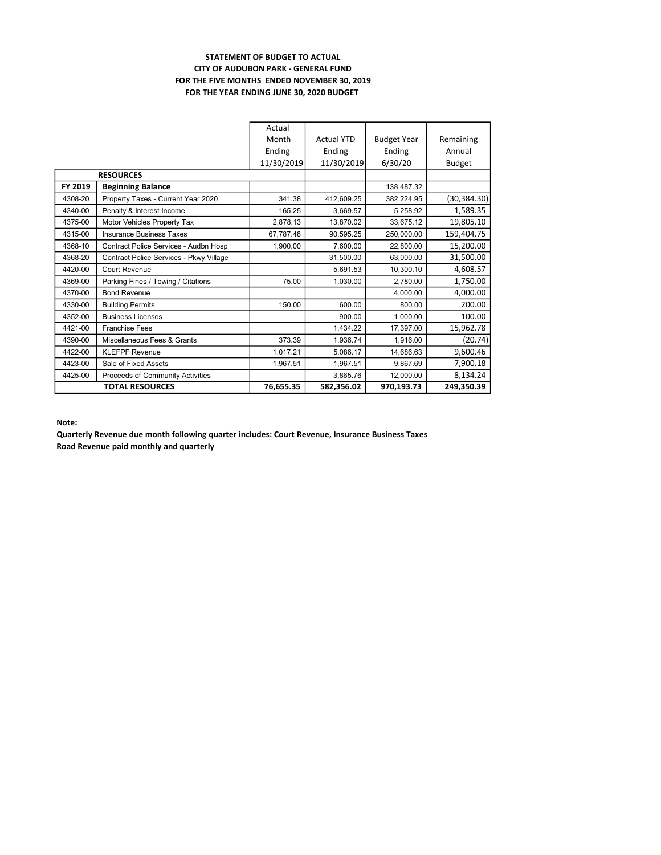### STATEMENT OF BUDGET TO ACTUAL CITY OF AUDUBON PARK - GENERAL FUND FOR THE FIVE MONTHS ENDED NOVEMBER 30, 2019 FOR THE YEAR ENDING JUNE 30, 2020 BUDGET

|         |                                         | Actual     |                   |                    |               |
|---------|-----------------------------------------|------------|-------------------|--------------------|---------------|
|         |                                         | Month      | <b>Actual YTD</b> | <b>Budget Year</b> | Remaining     |
|         |                                         | Ending     | Ending            | Ending             | Annual        |
|         |                                         | 11/30/2019 | 11/30/2019        | 6/30/20            | <b>Budget</b> |
|         | <b>RESOURCES</b>                        |            |                   |                    |               |
| FY 2019 | <b>Beginning Balance</b>                |            |                   | 138,487.32         |               |
| 4308-20 | Property Taxes - Current Year 2020      | 341.38     | 412,609.25        | 382,224.95         | (30,384.30)   |
| 4340-00 | Penalty & Interest Income               | 165.25     | 3,669.57          | 5,258.92           | 1,589.35      |
| 4375-00 | Motor Vehicles Property Tax             | 2,878.13   | 13,870.02         | 33,675.12          | 19,805.10     |
| 4315-00 | <b>Insurance Business Taxes</b>         | 67,787.48  | 90.595.25         | 250.000.00         | 159,404.75    |
| 4368-10 | Contract Police Services - Audbn Hosp   | 1.900.00   | 7.600.00          | 22.800.00          | 15,200.00     |
| 4368-20 | Contract Police Services - Pkwy Village |            | 31,500.00         | 63.000.00          | 31,500.00     |
| 4420-00 | Court Revenue                           |            | 5.691.53          | 10,300.10          | 4,608.57      |
| 4369-00 | Parking Fines / Towing / Citations      | 75.00      | 1,030.00          | 2,780.00           | 1,750.00      |
| 4370-00 | <b>Bond Revenue</b>                     |            |                   | 4,000.00           | 4,000.00      |
| 4330-00 | <b>Building Permits</b>                 | 150.00     | 600.00            | 800.00             | 200.00        |
| 4352-00 | <b>Business Licenses</b>                |            | 900.00            | 1,000.00           | 100.00        |
| 4421-00 | <b>Franchise Fees</b>                   |            | 1.434.22          | 17.397.00          | 15,962.78     |
| 4390-00 | Miscellaneous Fees & Grants             | 373.39     | 1.936.74          | 1,916.00           | (20.74)       |
| 4422-00 | <b>KLEFPF Revenue</b>                   | 1,017.21   | 5,086.17          | 14,686.63          | 9,600.46      |
| 4423-00 | Sale of Fixed Assets                    | 1,967.51   | 1,967.51          | 9.867.69           | 7,900.18      |
| 4425-00 | Proceeds of Community Activities        |            | 3,865.76          | 12,000.00          | 8,134.24      |
|         | <b>TOTAL RESOURCES</b>                  | 76,655.35  | 582,356.02        | 970,193.73         | 249,350.39    |

#### Note:

Quarterly Revenue due month following quarter includes: Court Revenue, Insurance Business Taxes Road Revenue paid monthly and quarterly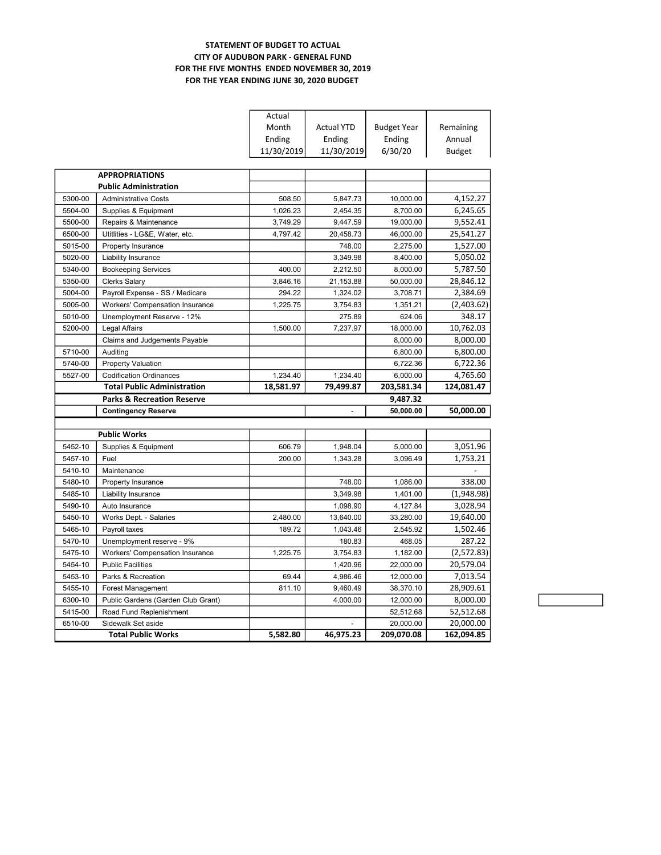### STATEMENT OF BUDGET TO ACTUAL CITY OF AUDUBON PARK - GENERAL FUND FOR THE FIVE MONTHS ENDED NOVEMBER 30, 2019 FOR THE YEAR ENDING JUNE 30, 2020 BUDGET

|         |                                        | Actual     |                   |                    |               |
|---------|----------------------------------------|------------|-------------------|--------------------|---------------|
|         |                                        | Month      | <b>Actual YTD</b> | <b>Budget Year</b> | Remaining     |
|         |                                        | Ending     | Ending            | Ending             | Annual        |
|         |                                        | 11/30/2019 | 11/30/2019        | 6/30/20            | <b>Budget</b> |
|         |                                        |            |                   |                    |               |
|         | <b>APPROPRIATIONS</b>                  |            |                   |                    |               |
|         | <b>Public Administration</b>           |            |                   |                    |               |
| 5300-00 | <b>Administrative Costs</b>            | 508.50     | 5,847.73          | 10,000.00          | 4,152.27      |
| 5504-00 | Supplies & Equipment                   | 1,026.23   | 2,454.35          | 8,700.00           | 6,245.65      |
| 5500-00 | Repairs & Maintenance                  | 3,749.29   | 9,447.59          | 19,000.00          | 9,552.41      |
| 6500-00 | Utitlities - LG&E, Water, etc.         | 4,797.42   | 20,458.73         | 46,000.00          | 25,541.27     |
| 5015-00 | Property Insurance                     |            | 748.00            | 2,275.00           | 1,527.00      |
| 5020-00 | Liability Insurance                    |            | 3.349.98          | 8.400.00           | 5,050.02      |
| 5340-00 | <b>Bookeeping Services</b>             | 400.00     | 2,212.50          | 8,000.00           | 5,787.50      |
| 5350-00 | <b>Clerks Salary</b>                   | 3,846.16   | 21,153.88         | 50,000.00          | 28,846.12     |
| 5004-00 | Payroll Expense - SS / Medicare        | 294.22     | 1,324.02          | 3,708.71           | 2,384.69      |
| 5005-00 | <b>Workers' Compensation Insurance</b> | 1,225.75   | 3,754.83          | 1,351.21           | (2,403.62)    |
| 5010-00 | Unemployment Reserve - 12%             |            | 275.89            | 624.06             | 348.17        |
| 5200-00 | <b>Legal Affairs</b>                   | 1,500.00   | 7,237.97          | 18,000.00          | 10,762.03     |
|         | Claims and Judgements Payable          |            |                   | 8,000.00           | 8,000.00      |
| 5710-00 | Auditing                               |            |                   | 6,800.00           | 6,800.00      |
| 5740-00 | <b>Property Valuation</b>              |            |                   | 6,722.36           | 6,722.36      |
| 5527-00 | <b>Codification Ordinances</b>         | 1,234.40   | 1,234.40          | 6,000.00           | 4,765.60      |
|         | <b>Total Public Administration</b>     | 18,581.97  | 79,499.87         | 203,581.34         | 124,081.47    |
|         |                                        |            |                   |                    |               |
|         | <b>Parks &amp; Recreation Reserve</b>  |            |                   | 9,487.32           |               |
|         | <b>Contingency Reserve</b>             |            |                   | 50,000.00          | 50,000.00     |
|         |                                        |            |                   |                    |               |
|         | <b>Public Works</b>                    |            |                   |                    |               |
| 5452-10 | Supplies & Equipment                   | 606.79     | 1,948.04          | 5,000.00           | 3,051.96      |
| 5457-10 | Fuel                                   | 200.00     | 1,343.28          | 3,096.49           | 1,753.21      |
| 5410-10 | Maintenance                            |            |                   |                    |               |
| 5480-10 | Property Insurance                     |            | 748.00            | 1,086.00           | 338.00        |
| 5485-10 | Liability Insurance                    |            | 3.349.98          | 1.401.00           | (1,948.98)    |
| 5490-10 | Auto Insurance                         |            | 1,098.90          | 4,127.84           | 3,028.94      |
| 5450-10 | Works Dept. - Salaries                 | 2.480.00   | 13,640.00         | 33,280.00          | 19,640.00     |
| 5465-10 | Payroll taxes                          | 189.72     | 1,043.46          | 2,545.92           | 1,502.46      |
| 5470-10 | Unemployment reserve - 9%              |            | 180.83            | 468.05             | 287.22        |
| 5475-10 | <b>Workers' Compensation Insurance</b> | 1.225.75   | 3,754.83          | 1,182.00           | (2,572.83)    |
| 5454-10 | <b>Public Facilities</b>               |            | 1,420.96          | 22,000.00          | 20,579.04     |
| 5453-10 | Parks & Recreation                     | 69.44      | 4,986.46          | 12,000.00          | 7,013.54      |
| 5455-10 | Forest Management                      | 811.10     | 9,460.49          | 38,370.10          | 28,909.61     |
| 6300-10 | Public Gardens (Garden Club Grant)     |            | 4,000.00          | 12,000.00          | 8,000.00      |
| 5415-00 | Road Fund Replenishment                |            |                   | 52,512.68          | 52,512.68     |
| 6510-00 | Sidewalk Set aside                     |            |                   | 20,000.00          | 20,000.00     |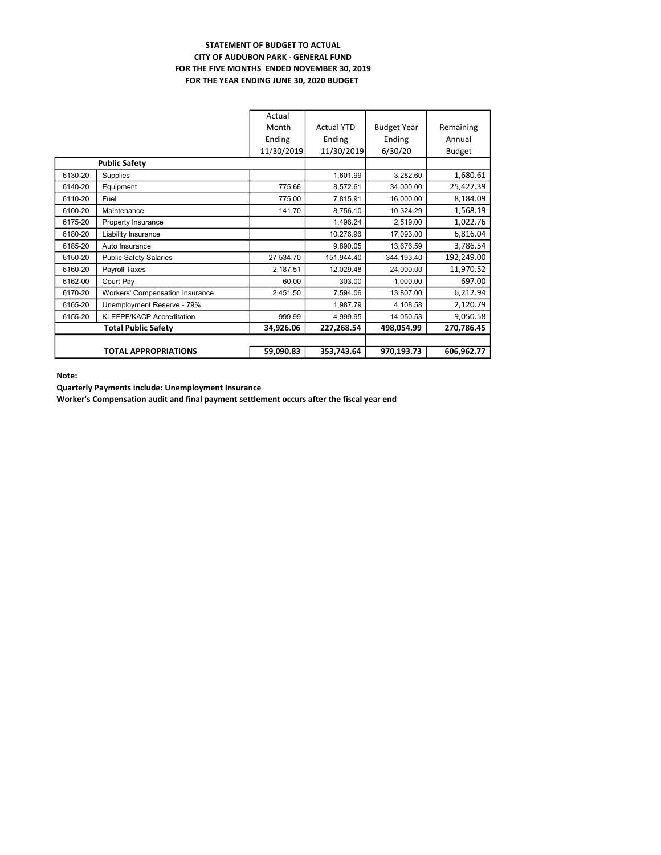### STATEMENT OF BUDGET TO ACTUAL CITY OF AUDUBON PARK - GENERAL FUND FOR THE FIVE MONTHS ENDED NOVEMBER 30, 2019 FOR THE YEAR ENDING JUNE 30, 2020 BUDGET

|         |                                 | Actual     |                   |                    |               |
|---------|---------------------------------|------------|-------------------|--------------------|---------------|
|         |                                 | Month      | <b>Actual YTD</b> | <b>Budget Year</b> | Remaining     |
|         |                                 | Ending     | Ending            | Ending             | Annual        |
|         |                                 | 11/30/2019 | 11/30/2019        | 6/30/20            | <b>Budget</b> |
|         | <b>Public Safety</b>            |            |                   |                    |               |
| 6130-20 | Supplies                        |            | 1,601.99          | 3,282.60           | 1,680.61      |
| 6140-20 | Equipment                       | 775.66     | 8,572.61          | 34,000.00          | 25,427.39     |
| 6110-20 | Fuel                            | 775.00     | 7,815.91          | 16,000.00          | 8,184.09      |
| 6100-20 | Maintenance                     | 141.70     | 8,756.10          | 10,324.29          | 1,568.19      |
| 6175-20 | Property Insurance              |            | 1,496.24          | 2,519.00           | 1,022.76      |
| 6180-20 | Liability Insurance             |            | 10,276.96         | 17,093.00          | 6,816.04      |
| 6185-20 | Auto Insurance                  |            | 9,890.05          | 13,676.59          | 3,786.54      |
| 6150-20 | <b>Public Safety Salaries</b>   | 27,534.70  | 151,944.40        | 344,193.40         | 192,249.00    |
| 6160-20 | Payroll Taxes                   | 2,187.51   | 12,029.48         | 24,000.00          | 11,970.52     |
| 6162-00 | Court Pay                       | 60.00      | 303.00            | 1,000.00           | 697.00        |
| 6170-20 | Workers' Compensation Insurance | 2,451.50   | 7,594.06          | 13,807.00          | 6,212.94      |
| 6165-20 | Unemployment Reserve - 79%      |            | 1,987.79          | 4,108.58           | 2,120.79      |
| 6155-20 | KLEFPF/KACP Accreditation       | 999.99     | 4,999.95          | 14,050.53          | 9,050.58      |
|         | <b>Total Public Safety</b>      | 34,926.06  | 227,268.54        | 498,054.99         | 270,786.45    |
|         |                                 |            |                   |                    |               |
|         | <b>TOTAL APPROPRIATIONS</b>     | 59,090.83  | 353,743.64        | 970,193.73         | 606,962.77    |

Note:

Quarterly Payments include: Unemployment Insurance

Worker's Compensation audit and final payment settlement occurs after the fiscal year end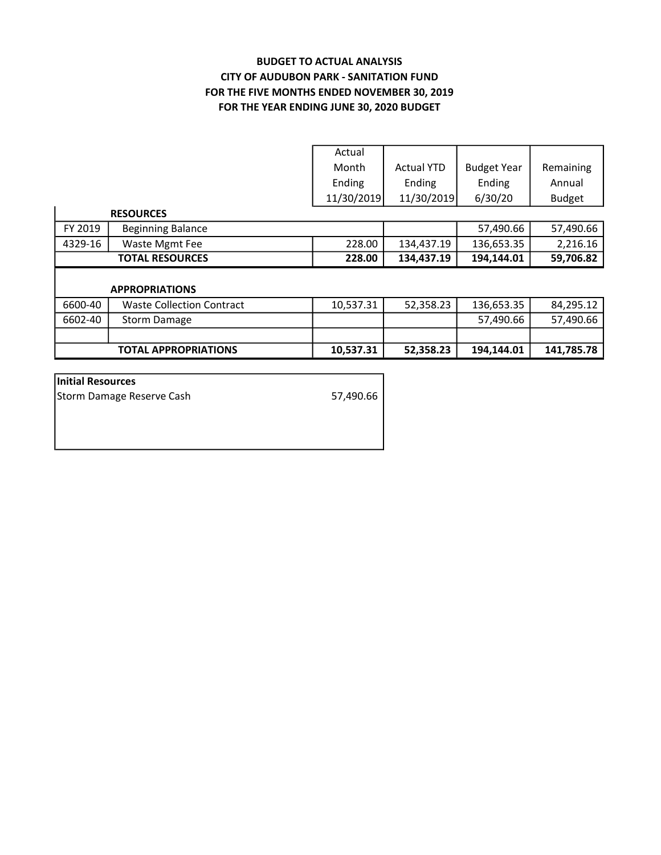# BUDGET TO ACTUAL ANALYSIS CITY OF AUDUBON PARK - SANITATION FUND FOR THE YEAR ENDING JUNE 30, 2020 BUDGET FOR THE FIVE MONTHS ENDED NOVEMBER 30, 2019

|         |                                  | Actual     |                   |                    |               |
|---------|----------------------------------|------------|-------------------|--------------------|---------------|
|         |                                  | Month      | <b>Actual YTD</b> | <b>Budget Year</b> | Remaining     |
|         |                                  | Ending     | Ending            | Ending             | Annual        |
|         |                                  | 11/30/2019 | 11/30/2019        | 6/30/20            | <b>Budget</b> |
|         | <b>RESOURCES</b>                 |            |                   |                    |               |
| FY 2019 | <b>Beginning Balance</b>         |            |                   | 57,490.66          | 57,490.66     |
| 4329-16 | Waste Mgmt Fee                   | 228.00     | 134,437.19        | 136,653.35         | 2,216.16      |
|         | <b>TOTAL RESOURCES</b>           | 228.00     | 134,437.19        | 194,144.01         | 59,706.82     |
|         |                                  |            |                   |                    |               |
|         | <b>APPROPRIATIONS</b>            |            |                   |                    |               |
| 6600-40 | <b>Waste Collection Contract</b> | 10,537.31  | 52,358.23         | 136,653.35         | 84,295.12     |
| 6602-40 | Storm Damage                     |            |                   | 57,490.66          | 57,490.66     |
|         |                                  |            |                   |                    |               |
|         | <b>TOTAL APPROPRIATIONS</b>      | 10,537.31  | 52,358.23         | 194,144.01         | 141,785.78    |

| Initial Resources         |           |
|---------------------------|-----------|
| Storm Damage Reserve Cash | 57,490.66 |
|                           |           |
|                           |           |
|                           |           |
|                           |           |